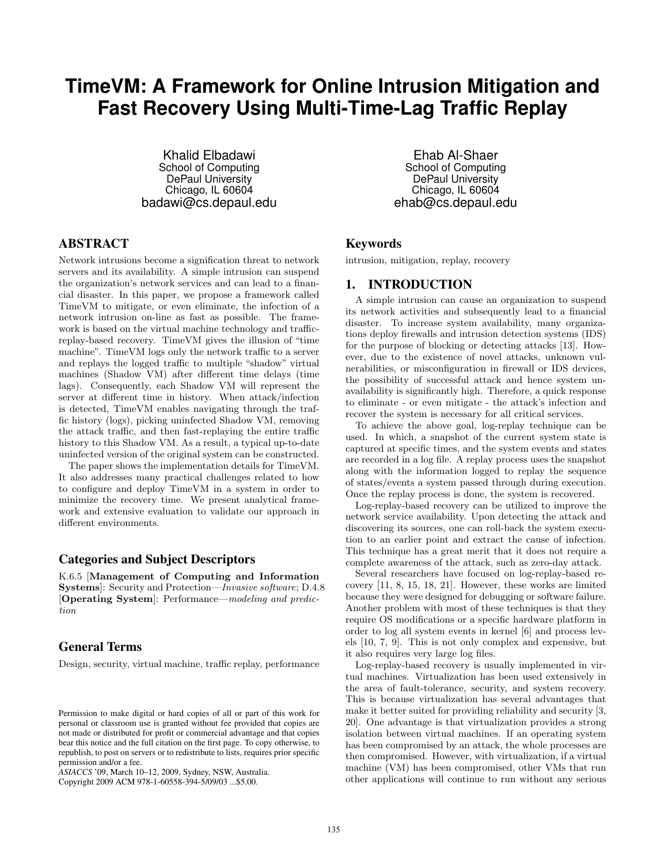# **TimeVM: A Framework for Online Intrusion Mitigation and Fast Recovery Using Multi-Time-Lag Traffic Replay**

Khalid Elbadawi School of Computing DePaul University Chicago, IL 60604 badawi@cs.depaul.edu

## ABSTRACT

Network intrusions become a signification threat to network servers and its availability. A simple intrusion can suspend the organization's network services and can lead to a financial disaster. In this paper, we propose a framework called TimeVM to mitigate, or even eliminate, the infection of a network intrusion on-line as fast as possible. The framework is based on the virtual machine technology and trafficreplay-based recovery. TimeVM gives the illusion of "time machine". TimeVM logs only the network traffic to a server and replays the logged traffic to multiple "shadow" virtual machines (Shadow VM) after different time delays (time lags). Consequently, each Shadow VM will represent the server at different time in history. When attack/infection is detected, TimeVM enables navigating through the traffic history (logs), picking uninfected Shadow VM, removing the attack traffic, and then fast-replaying the entire traffic history to this Shadow VM. As a result, a typical up-to-date uninfected version of the original system can be constructed.

The paper shows the implementation details for TimeVM. It also addresses many practical challenges related to how to configure and deploy TimeVM in a system in order to minimize the recovery time. We present analytical framework and extensive evaluation to validate our approach in different environments.

## Categories and Subject Descriptors

K.6.5 [Management of Computing and Information Systems]: Security and Protection—Invasive software; D.4.8 [Operating System]: Performance—modeling and prediction

## General Terms

Design, security, virtual machine, traffic replay, performance

Copyright 2009 ACM 978-1-60558-394-5/09/03 ...\$5.00.

Ehab Al-Shaer School of Computing DePaul University Chicago, IL 60604 ehab@cs.depaul.edu

### Keywords

intrusion, mitigation, replay, recovery

## 1. INTRODUCTION

A simple intrusion can cause an organization to suspend its network activities and subsequently lead to a financial disaster. To increase system availability, many organizations deploy firewalls and intrusion detection systems (IDS) for the purpose of blocking or detecting attacks [13]. However, due to the existence of novel attacks, unknown vulnerabilities, or misconfiguration in firewall or IDS devices, the possibility of successful attack and hence system unavailability is significantly high. Therefore, a quick response to eliminate - or even mitigate - the attack's infection and recover the system is necessary for all critical services.

To achieve the above goal, log-replay technique can be used. In which, a snapshot of the current system state is captured at specific times, and the system events and states are recorded in a log file. A replay process uses the snapshot along with the information logged to replay the sequence of states/events a system passed through during execution. Once the replay process is done, the system is recovered.

Log-replay-based recovery can be utilized to improve the network service availability. Upon detecting the attack and discovering its sources, one can roll-back the system execution to an earlier point and extract the cause of infection. This technique has a great merit that it does not require a complete awareness of the attack, such as zero-day attack.

Several researchers have focused on log-replay-based recovery [11, 8, 15, 18, 21]. However, these works are limited because they were designed for debugging or software failure. Another problem with most of these techniques is that they require OS modifications or a specific hardware platform in order to log all system events in kernel [6] and process levels [10, 7, 9]. This is not only complex and expensive, but it also requires very large log files.

Log-replay-based recovery is usually implemented in virtual machines. Virtualization has been used extensively in the area of fault-tolerance, security, and system recovery. This is because virtualization has several advantages that make it better suited for providing reliability and security [3, 20]. One advantage is that virtualization provides a strong isolation between virtual machines. If an operating system has been compromised by an attack, the whole processes are then compromised. However, with virtualization, if a virtual machine (VM) has been compromised, other VMs that run other applications will continue to run without any serious

Permission to make digital or hard copies of all or part of this work for personal or classroom use is granted without fee provided that copies are not made or distributed for profit or commercial advantage and that copies bear this notice and the full citation on the first page. To copy otherwise, to republish, to post on servers or to redistribute to lists, requires prior specific permission and/or a fee.

*ASIACCS* '09, March 10–12, 2009, Sydney, NSW, Australia.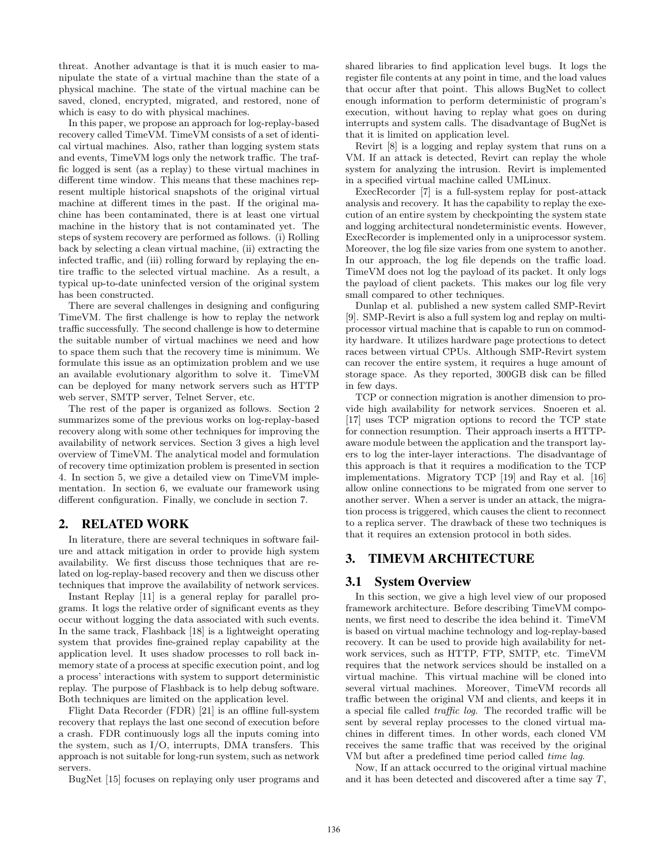threat. Another advantage is that it is much easier to manipulate the state of a virtual machine than the state of a physical machine. The state of the virtual machine can be saved, cloned, encrypted, migrated, and restored, none of which is easy to do with physical machines.

In this paper, we propose an approach for log-replay-based recovery called TimeVM. TimeVM consists of a set of identical virtual machines. Also, rather than logging system stats and events, TimeVM logs only the network traffic. The traffic logged is sent (as a replay) to these virtual machines in different time window. This means that these machines represent multiple historical snapshots of the original virtual machine at different times in the past. If the original machine has been contaminated, there is at least one virtual machine in the history that is not contaminated yet. The steps of system recovery are performed as follows. (i) Rolling back by selecting a clean virtual machine, (ii) extracting the infected traffic, and (iii) rolling forward by replaying the entire traffic to the selected virtual machine. As a result, a typical up-to-date uninfected version of the original system has been constructed.

There are several challenges in designing and configuring TimeVM. The first challenge is how to replay the network traffic successfully. The second challenge is how to determine the suitable number of virtual machines we need and how to space them such that the recovery time is minimum. We formulate this issue as an optimization problem and we use an available evolutionary algorithm to solve it. TimeVM can be deployed for many network servers such as HTTP web server, SMTP server, Telnet Server, etc.

The rest of the paper is organized as follows. Section 2 summarizes some of the previous works on log-replay-based recovery along with some other techniques for improving the availability of network services. Section 3 gives a high level overview of TimeVM. The analytical model and formulation of recovery time optimization problem is presented in section 4. In section 5, we give a detailed view on TimeVM implementation. In section 6, we evaluate our framework using different configuration. Finally, we conclude in section 7.

## 2. RELATED WORK

In literature, there are several techniques in software failure and attack mitigation in order to provide high system availability. We first discuss those techniques that are related on log-replay-based recovery and then we discuss other techniques that improve the availability of network services.

Instant Replay [11] is a general replay for parallel programs. It logs the relative order of significant events as they occur without logging the data associated with such events. In the same track, Flashback [18] is a lightweight operating system that provides fine-grained replay capability at the application level. It uses shadow processes to roll back inmemory state of a process at specific execution point, and log a process' interactions with system to support deterministic replay. The purpose of Flashback is to help debug software. Both techniques are limited on the application level.

Flight Data Recorder (FDR) [21] is an offline full-system recovery that replays the last one second of execution before a crash. FDR continuously logs all the inputs coming into the system, such as I/O, interrupts, DMA transfers. This approach is not suitable for long-run system, such as network servers.

BugNet [15] focuses on replaying only user programs and

shared libraries to find application level bugs. It logs the register file contents at any point in time, and the load values that occur after that point. This allows BugNet to collect enough information to perform deterministic of program's execution, without having to replay what goes on during interrupts and system calls. The disadvantage of BugNet is that it is limited on application level.

Revirt [8] is a logging and replay system that runs on a VM. If an attack is detected, Revirt can replay the whole system for analyzing the intrusion. Revirt is implemented in a specified virtual machine called UMLinux.

ExecRecorder [7] is a full-system replay for post-attack analysis and recovery. It has the capability to replay the execution of an entire system by checkpointing the system state and logging architectural nondeterministic events. However, ExecRecorder is implemented only in a uniprocessor system. Moreover, the log file size varies from one system to another. In our approach, the log file depends on the traffic load. TimeVM does not log the payload of its packet. It only logs the payload of client packets. This makes our log file very small compared to other techniques.

Dunlap et al. published a new system called SMP-Revirt [9]. SMP-Revirt is also a full system log and replay on multiprocessor virtual machine that is capable to run on commodity hardware. It utilizes hardware page protections to detect races between virtual CPUs. Although SMP-Revirt system can recover the entire system, it requires a huge amount of storage space. As they reported, 300GB disk can be filled in few days.

TCP or connection migration is another dimension to provide high availability for network services. Snoeren et al. [17] uses TCP migration options to record the TCP state for connection resumption. Their approach inserts a HTTPaware module between the application and the transport layers to log the inter-layer interactions. The disadvantage of this approach is that it requires a modification to the TCP implementations. Migratory TCP [19] and Ray et al. [16] allow online connections to be migrated from one server to another server. When a server is under an attack, the migration process is triggered, which causes the client to reconnect to a replica server. The drawback of these two techniques is that it requires an extension protocol in both sides.

## 3. TIMEVM ARCHITECTURE

## 3.1 System Overview

In this section, we give a high level view of our proposed framework architecture. Before describing TimeVM components, we first need to describe the idea behind it. TimeVM is based on virtual machine technology and log-replay-based recovery. It can be used to provide high availability for network services, such as HTTP, FTP, SMTP, etc. TimeVM requires that the network services should be installed on a virtual machine. This virtual machine will be cloned into several virtual machines. Moreover, TimeVM records all traffic between the original VM and clients, and keeps it in a special file called traffic log. The recorded traffic will be sent by several replay processes to the cloned virtual machines in different times. In other words, each cloned VM receives the same traffic that was received by the original VM but after a predefined time period called time lag.

Now, If an attack occurred to the original virtual machine and it has been detected and discovered after a time say T,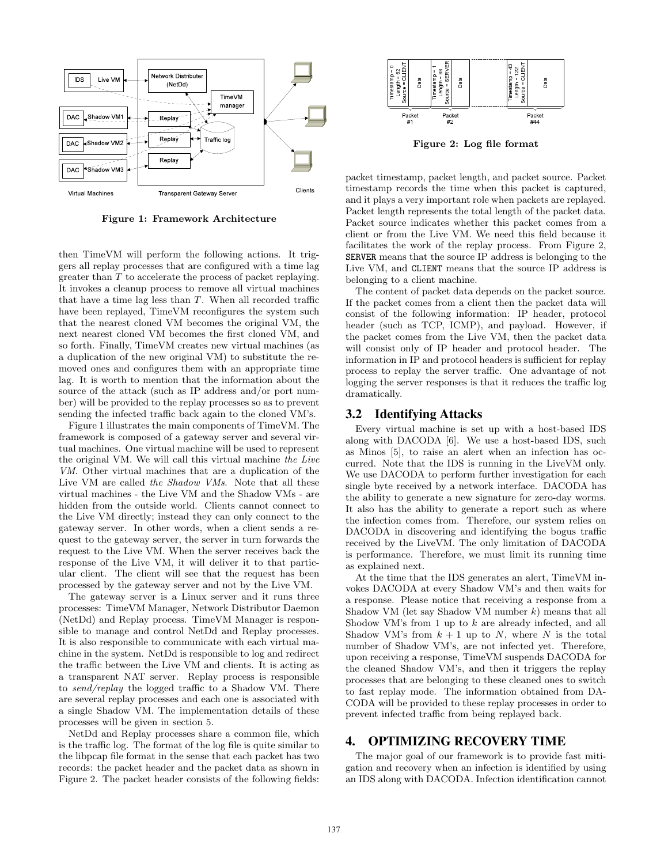

Figure 1: Framework Architecture

then TimeVM will perform the following actions. It triggers all replay processes that are configured with a time lag greater than T to accelerate the process of packet replaying. It invokes a cleanup process to remove all virtual machines that have a time lag less than T. When all recorded traffic have been replayed, TimeVM reconfigures the system such that the nearest cloned VM becomes the original VM, the next nearest cloned VM becomes the first cloned VM, and so forth. Finally, TimeVM creates new virtual machines (as a duplication of the new original VM) to substitute the removed ones and configures them with an appropriate time lag. It is worth to mention that the information about the source of the attack (such as IP address and/or port number) will be provided to the replay processes so as to prevent sending the infected traffic back again to the cloned VM's.

Figure 1 illustrates the main components of TimeVM. The framework is composed of a gateway server and several virtual machines. One virtual machine will be used to represent the original VM. We will call this virtual machine the Live VM. Other virtual machines that are a duplication of the Live VM are called the Shadow VMs. Note that all these virtual machines - the Live VM and the Shadow VMs - are hidden from the outside world. Clients cannot connect to the Live VM directly; instead they can only connect to the gateway server. In other words, when a client sends a request to the gateway server, the server in turn forwards the request to the Live VM. When the server receives back the response of the Live VM, it will deliver it to that particular client. The client will see that the request has been processed by the gateway server and not by the Live VM.

The gateway server is a Linux server and it runs three processes: TimeVM Manager, Network Distributor Daemon (NetDd) and Replay process. TimeVM Manager is responsible to manage and control NetDd and Replay processes. It is also responsible to communicate with each virtual machine in the system. NetDd is responsible to log and redirect the traffic between the Live VM and clients. It is acting as a transparent NAT server. Replay process is responsible to send/replay the logged traffic to a Shadow VM. There are several replay processes and each one is associated with a single Shadow VM. The implementation details of these processes will be given in section 5.

NetDd and Replay processes share a common file, which is the traffic log. The format of the log file is quite similar to the libpcap file format in the sense that each packet has two records: the packet header and the packet data as shown in Figure 2. The packet header consists of the following fields:



Figure 2: Log file format

packet timestamp, packet length, and packet source. Packet timestamp records the time when this packet is captured, and it plays a very important role when packets are replayed. Packet length represents the total length of the packet data. Packet source indicates whether this packet comes from a client or from the Live VM. We need this field because it facilitates the work of the replay process. From Figure 2, SERVER means that the source IP address is belonging to the Live VM, and CLIENT means that the source IP address is belonging to a client machine.

The content of packet data depends on the packet source. If the packet comes from a client then the packet data will consist of the following information: IP header, protocol header (such as TCP, ICMP), and payload. However, if the packet comes from the Live VM, then the packet data will consist only of IP header and protocol header. The information in IP and protocol headers is sufficient for replay process to replay the server traffic. One advantage of not logging the server responses is that it reduces the traffic log dramatically.

## 3.2 Identifying Attacks

Every virtual machine is set up with a host-based IDS along with DACODA [6]. We use a host-based IDS, such as Minos [5], to raise an alert when an infection has occurred. Note that the IDS is running in the LiveVM only. We use DACODA to perform further investigation for each single byte received by a network interface. DACODA has the ability to generate a new signature for zero-day worms. It also has the ability to generate a report such as where the infection comes from. Therefore, our system relies on DACODA in discovering and identifying the bogus traffic received by the LiveVM. The only limitation of DACODA is performance. Therefore, we must limit its running time as explained next.

At the time that the IDS generates an alert, TimeVM invokes DACODA at every Shadow VM's and then waits for a response. Please notice that receiving a response from a Shadow VM (let say Shadow VM number  $k$ ) means that all Shodow VM's from 1 up to  $k$  are already infected, and all Shadow VM's from  $k + 1$  up to N, where N is the total number of Shadow VM's, are not infected yet. Therefore, upon receiving a response, TimeVM suspends DACODA for the cleaned Shadow VM's, and then it triggers the replay processes that are belonging to these cleaned ones to switch to fast replay mode. The information obtained from DA-CODA will be provided to these replay processes in order to prevent infected traffic from being replayed back.

## 4. OPTIMIZING RECOVERY TIME

The major goal of our framework is to provide fast mitigation and recovery when an infection is identified by using an IDS along with DACODA. Infection identification cannot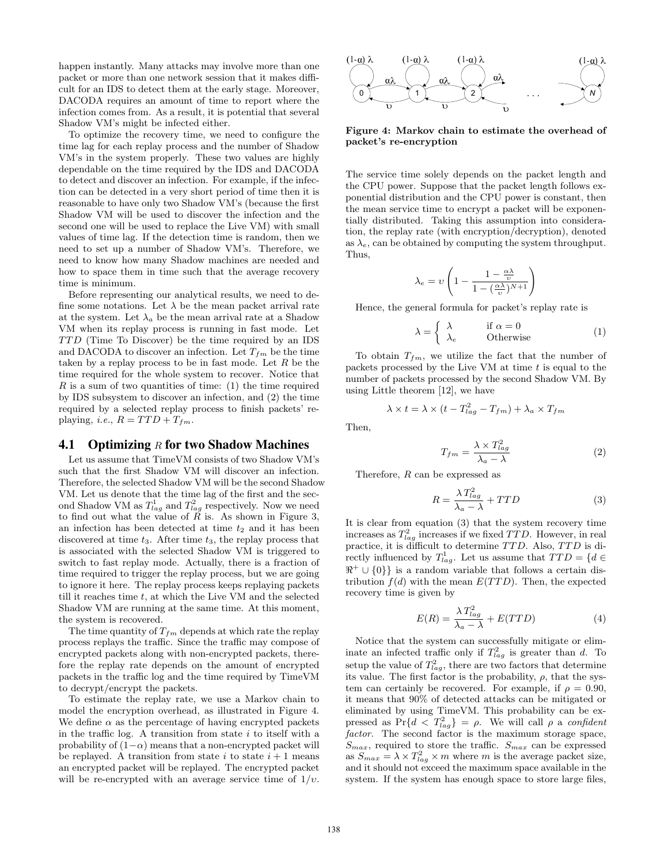happen instantly. Many attacks may involve more than one packet or more than one network session that it makes difficult for an IDS to detect them at the early stage. Moreover, DACODA requires an amount of time to report where the infection comes from. As a result, it is potential that several Shadow VM's might be infected either.

To optimize the recovery time, we need to configure the time lag for each replay process and the number of Shadow VM's in the system properly. These two values are highly dependable on the time required by the IDS and DACODA to detect and discover an infection. For example, if the infection can be detected in a very short period of time then it is reasonable to have only two Shadow VM's (because the first Shadow VM will be used to discover the infection and the second one will be used to replace the Live VM) with small values of time lag. If the detection time is random, then we need to set up a number of Shadow VM's. Therefore, we need to know how many Shadow machines are needed and how to space them in time such that the average recovery time is minimum.

Before representing our analytical results, we need to define some notations. Let  $\lambda$  be the mean packet arrival rate at the system. Let  $\lambda_a$  be the mean arrival rate at a Shadow VM when its replay process is running in fast mode. Let TTD (Time To Discover) be the time required by an IDS and DACODA to discover an infection. Let  $T_{fm}$  be the time taken by a replay process to be in fast mode. Let  $R$  be the time required for the whole system to recover. Notice that R is a sum of two quantities of time: (1) the time required by IDS subsystem to discover an infection, and (2) the time required by a selected replay process to finish packets' replaying, *i.e.*,  $R = T T D + T_{fm}$ .

#### 4.1 Optimizing  $R$  for two Shadow Machines

Let us assume that TimeVM consists of two Shadow VM's such that the first Shadow VM will discover an infection. Therefore, the selected Shadow VM will be the second Shadow VM. Let us denote that the time lag of the first and the second Shadow VM as  $T_{lag}^1$  and  $T_{lag}^2$  respectively. Now we need to find out what the value of  $\overline{R}$  is. As shown in Figure 3, an infection has been detected at time  $t_2$  and it has been discovered at time  $t_3$ . After time  $t_3$ , the replay process that is associated with the selected Shadow VM is triggered to switch to fast replay mode. Actually, there is a fraction of time required to trigger the replay process, but we are going to ignore it here. The replay process keeps replaying packets till it reaches time  $t$ , at which the Live VM and the selected Shadow VM are running at the same time. At this moment, the system is recovered.

The time quantity of  $T_{fm}$  depends at which rate the replay process replays the traffic. Since the traffic may compose of encrypted packets along with non-encrypted packets, therefore the replay rate depends on the amount of encrypted packets in the traffic log and the time required by TimeVM to decrypt/encrypt the packets.

To estimate the replay rate, we use a Markov chain to model the encryption overhead, as illustrated in Figure 4. We define  $\alpha$  as the percentage of having encrypted packets in the traffic log. A transition from state  $i$  to itself with a probability of  $(1-\alpha)$  means that a non-encrypted packet will be replayed. A transition from state i to state  $i + 1$  means an encrypted packet will be replayed. The encrypted packet will be re-encrypted with an average service time of  $1/v$ .



Figure 4: Markov chain to estimate the overhead of packet's re-encryption

The service time solely depends on the packet length and the CPU power. Suppose that the packet length follows exponential distribution and the CPU power is constant, then the mean service time to encrypt a packet will be exponentially distributed. Taking this assumption into consideration, the replay rate (with encryption/decryption), denoted as  $\lambda_e$ , can be obtained by computing the system throughput. Thus,

$$
\lambda_e = \upsilon \left( 1 - \frac{1 - \frac{\alpha \lambda}{\upsilon}}{1 - \left(\frac{\alpha \lambda}{\upsilon}\right)^{N+1}} \right)
$$

Hence, the general formula for packet's replay rate is

$$
\lambda = \begin{cases} \lambda & \text{if } \alpha = 0 \\ \lambda_e & \text{Otherwise} \end{cases}
$$
 (1)

To obtain  $T_{fm}$ , we utilize the fact that the number of packets processed by the Live VM at time  $t$  is equal to the number of packets processed by the second Shadow VM. By using Little theorem [12], we have

$$
\lambda \times t = \lambda \times (t - T_{lag}^2 - T_{fm}) + \lambda_a \times T_{fm}
$$

Then,

$$
T_{fm} = \frac{\lambda \times T_{lag}^2}{\lambda_a - \lambda} \tag{2}
$$

Therefore, R can be expressed as

$$
R = \frac{\lambda T_{lag}^2}{\lambda_a - \lambda} + TTD \tag{3}
$$

It is clear from equation (3) that the system recovery time increases as  $T_{lag}^2$  increases if we fixed TTD. However, in real practice, it is difficult to determine TTD. Also, TTD is directly influenced by  $T_{lag}^1$ . Let us assume that  $TTD = \{d \in$  $\mathbb{R}^+ \cup \{0\}$  is a random variable that follows a certain distribution  $f(d)$  with the mean  $E(TTD)$ . Then, the expected recovery time is given by

$$
E(R) = \frac{\lambda T_{lag}^2}{\lambda_a - \lambda} + E(TTD)
$$
\n(4)

Notice that the system can successfully mitigate or eliminate an infected traffic only if  $T_{lag}^2$  is greater than d. To setup the value of  $T_{lag}^2$ , there are two factors that determine its value. The first factor is the probability,  $\rho$ , that the system can certainly be recovered. For example, if  $\rho = 0.90$ , it means that 90% of detected attacks can be mitigated or eliminated by using TimeVM. This probability can be expressed as  $Pr{d < T_{lag}^2} = \rho$ . We will call  $\rho$  a confident factor. The second factor is the maximum storage space,  $S_{max}$ , required to store the traffic.  $S_{max}$  can be expressed as  $S_{max} = \lambda \times T_{lag}^2 \times m$  where m is the average packet size, and it should not exceed the maximum space available in the system. If the system has enough space to store large files,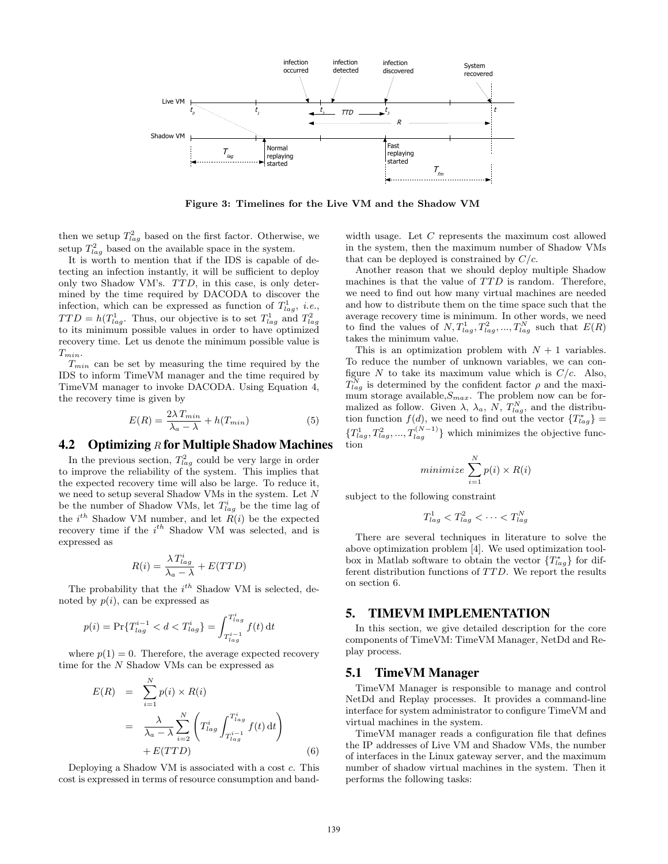

Figure 3: Timelines for the Live VM and the Shadow VM

then we setup  $T_{lag}^2$  based on the first factor. Otherwise, we setup  $T_{lag}^2$  based on the available space in the system.

It is worth to mention that if the IDS is capable of detecting an infection instantly, it will be sufficient to deploy only two Shadow VM's.  $TTD$ , in this case, is only determined by the time required by DACODA to discover the infection, which can be expressed as function of  $T_{lag}^1$ , *i.e.*,  $TTD = h(T_{lag}^1$ . Thus, our objective is to set  $T_{lag}^1$  and  $T_{lag}^2$ to its minimum possible values in order to have optimized recovery time. Let us denote the minimum possible value is  $T_{min}$ 

 $T_{min}$  can be set by measuring the time required by the IDS to inform TimeVM manager and the time required by TimeVM manager to invoke DACODA. Using Equation 4, the recovery time is given by

$$
E(R) = \frac{2\lambda T_{min}}{\lambda_a - \lambda} + h(T_{min})
$$
\n(5)

### 4.2 Optimizing  $R$  for Multiple Shadow Machines

In the previous section,  $T_{lag}^2$  could be very large in order to improve the reliability of the system. This implies that the expected recovery time will also be large. To reduce it, we need to setup several Shadow VMs in the system. Let N be the number of Shadow VMs, let  $T_{lag}^i$  be the time lag of the  $i^{th}$  Shadow VM number, and let  $R(i)$  be the expected recovery time if the  $i^{th}$  Shadow VM was selected, and is expressed as

$$
R(i) = \frac{\lambda T_{lag}^i}{\lambda_a - \lambda} + E(TTD)
$$

The probability that the  $i^{th}$  Shadow VM is selected, denoted by  $p(i)$ , can be expressed as

$$
p(i) = \Pr\{T_{lag}^{i-1} < d < T_{lag}^i\} = \int_{T_{lag}^{i-1}}^{T_{lag}^i} f(t) \, \mathrm{d}t
$$

where  $p(1) = 0$ . Therefore, the average expected recovery time for the N Shadow VMs can be expressed as

$$
E(R) = \sum_{i=1}^{N} p(i) \times R(i)
$$
  
= 
$$
\frac{\lambda}{\lambda_a - \lambda} \sum_{i=2}^{N} \left( T_{lag}^{i} \int_{T_{lag}^{i-1}}^{T_{lag}^{i}} f(t) dt \right)
$$
  
+ 
$$
E(TTD)
$$
 (6)

Deploying a Shadow VM is associated with a cost c. This cost is expressed in terms of resource consumption and band-

width usage. Let C represents the maximum cost allowed in the system, then the maximum number of Shadow VMs that can be deployed is constrained by  $C/c$ .

Another reason that we should deploy multiple Shadow machines is that the value of  $TTD$  is random. Therefore, we need to find out how many virtual machines are needed and how to distribute them on the time space such that the average recovery time is minimum. In other words, we need to find the values of  $N, T_{lag}^1, T_{lag}^2, ..., T_{lag}^N$  such that  $E(R)$ takes the minimum value.

This is an optimization problem with  $N + 1$  variables. To reduce the number of unknown variables, we can configure  $N$  to take its maximum value which is  $C/c$ . Also,  $T_{lag}^N$  is determined by the confident factor  $\rho$  and the maximum storage available,  $S_{max}$ . The problem now can be formalized as follow. Given  $\lambda$ ,  $\lambda_a$ ,  $\overline{N}$ ,  $T_{lag}^N$ , and the distribution function  $f(d)$ , we need to find out the vector  ${T_{lag}}$  =  ${T}_{lag}^1, {T}_{lag}^2, ..., {T}_{lag}^{(N-1)}$  which minimizes the objective function

$$
minimize \sum_{i=1}^{N} p(i) \times R(i)
$$

subject to the following constraint

$$
T_{lag}^1 < T_{lag}^2 < \cdots < T_{lag}^N
$$

There are several techniques in literature to solve the above optimization problem [4]. We used optimization toolbox in Matlab software to obtain the vector  $\{T^*_{lag}\}$  for different distribution functions of TTD. We report the results on section 6.

## 5. TIMEVM IMPLEMENTATION

In this section, we give detailed description for the core components of TimeVM: TimeVM Manager, NetDd and Replay process.

#### 5.1 TimeVM Manager

TimeVM Manager is responsible to manage and control NetDd and Replay processes. It provides a command-line interface for system administrator to configure TimeVM and virtual machines in the system.

TimeVM manager reads a configuration file that defines the IP addresses of Live VM and Shadow VMs, the number of interfaces in the Linux gateway server, and the maximum number of shadow virtual machines in the system. Then it performs the following tasks: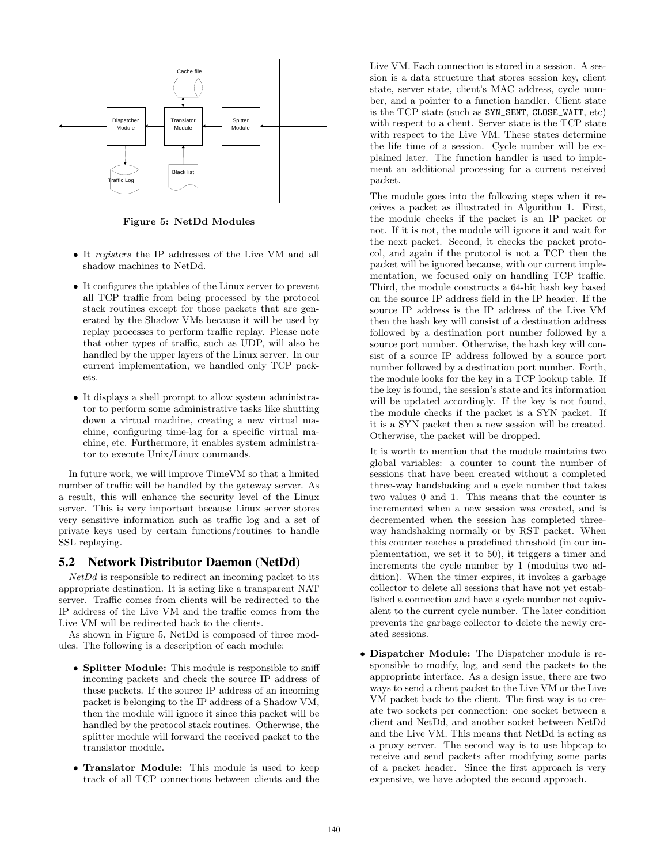

Figure 5: NetDd Modules

- It registers the IP addresses of the Live VM and all shadow machines to NetDd.
- It configures the iptables of the Linux server to prevent all TCP traffic from being processed by the protocol stack routines except for those packets that are generated by the Shadow VMs because it will be used by replay processes to perform traffic replay. Please note that other types of traffic, such as UDP, will also be handled by the upper layers of the Linux server. In our current implementation, we handled only TCP packets.
- It displays a shell prompt to allow system administrator to perform some administrative tasks like shutting down a virtual machine, creating a new virtual machine, configuring time-lag for a specific virtual machine, etc. Furthermore, it enables system administrator to execute Unix/Linux commands.

In future work, we will improve TimeVM so that a limited number of traffic will be handled by the gateway server. As a result, this will enhance the security level of the Linux server. This is very important because Linux server stores very sensitive information such as traffic log and a set of private keys used by certain functions/routines to handle SSL replaying.

#### 5.2 Network Distributor Daemon (NetDd)

NetDd is responsible to redirect an incoming packet to its appropriate destination. It is acting like a transparent NAT server. Traffic comes from clients will be redirected to the IP address of the Live VM and the traffic comes from the Live VM will be redirected back to the clients.

As shown in Figure 5, NetDd is composed of three modules. The following is a description of each module:

- Splitter Module: This module is responsible to sniff incoming packets and check the source IP address of these packets. If the source IP address of an incoming packet is belonging to the IP address of a Shadow VM, then the module will ignore it since this packet will be handled by the protocol stack routines. Otherwise, the splitter module will forward the received packet to the translator module.
- Translator Module: This module is used to keep track of all TCP connections between clients and the

Live VM. Each connection is stored in a session. A session is a data structure that stores session key, client state, server state, client's MAC address, cycle number, and a pointer to a function handler. Client state is the TCP state (such as SYN\_SENT, CLOSE\_WAIT, etc) with respect to a client. Server state is the TCP state with respect to the Live VM. These states determine the life time of a session. Cycle number will be explained later. The function handler is used to implement an additional processing for a current received packet.

The module goes into the following steps when it receives a packet as illustrated in Algorithm 1. First, the module checks if the packet is an IP packet or not. If it is not, the module will ignore it and wait for the next packet. Second, it checks the packet protocol, and again if the protocol is not a TCP then the packet will be ignored because, with our current implementation, we focused only on handling TCP traffic. Third, the module constructs a 64-bit hash key based on the source IP address field in the IP header. If the source IP address is the IP address of the Live VM then the hash key will consist of a destination address followed by a destination port number followed by a source port number. Otherwise, the hash key will consist of a source IP address followed by a source port number followed by a destination port number. Forth, the module looks for the key in a TCP lookup table. If the key is found, the session's state and its information will be updated accordingly. If the key is not found, the module checks if the packet is a SYN packet. If it is a SYN packet then a new session will be created. Otherwise, the packet will be dropped.

It is worth to mention that the module maintains two global variables: a counter to count the number of sessions that have been created without a completed three-way handshaking and a cycle number that takes two values 0 and 1. This means that the counter is incremented when a new session was created, and is decremented when the session has completed threeway handshaking normally or by RST packet. When this counter reaches a predefined threshold (in our implementation, we set it to 50), it triggers a timer and increments the cycle number by 1 (modulus two addition). When the timer expires, it invokes a garbage collector to delete all sessions that have not yet established a connection and have a cycle number not equivalent to the current cycle number. The later condition prevents the garbage collector to delete the newly created sessions.

• Dispatcher Module: The Dispatcher module is responsible to modify, log, and send the packets to the appropriate interface. As a design issue, there are two ways to send a client packet to the Live VM or the Live VM packet back to the client. The first way is to create two sockets per connection: one socket between a client and NetDd, and another socket between NetDd and the Live VM. This means that NetDd is acting as a proxy server. The second way is to use libpcap to receive and send packets after modifying some parts of a packet header. Since the first approach is very expensive, we have adopted the second approach.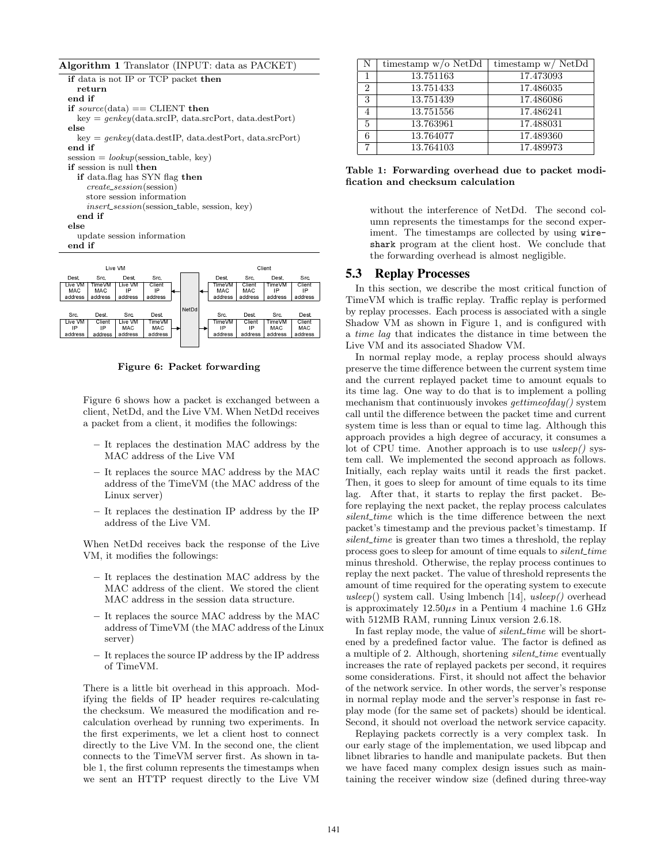Algorithm 1 Translator (INPUT: data as PACKET)



Figure 6: Packet forwarding

Figure 6 shows how a packet is exchanged between a client, NetDd, and the Live VM. When NetDd receives a packet from a client, it modifies the followings:

- It replaces the destination MAC address by the MAC address of the Live VM
- It replaces the source MAC address by the MAC address of the TimeVM (the MAC address of the Linux server)
- It replaces the destination IP address by the IP address of the Live VM.

When NetDd receives back the response of the Live VM, it modifies the followings:

- It replaces the destination MAC address by the MAC address of the client. We stored the client MAC address in the session data structure.
- It replaces the source MAC address by the MAC address of TimeVM (the MAC address of the Linux server)
- It replaces the source IP address by the IP address of TimeVM.

There is a little bit overhead in this approach. Modifying the fields of IP header requires re-calculating the checksum. We measured the modification and recalculation overhead by running two experiments. In the first experiments, we let a client host to connect directly to the Live VM. In the second one, the client connects to the TimeVM server first. As shown in table 1, the first column represents the timestamps when we sent an HTTP request directly to the Live VM

| N | timestamp w/o NetDd | timestamp $w/$ NetDd |
|---|---------------------|----------------------|
|   | 13.751163           | 17.473093            |
| 2 | 13.751433           | 17.486035            |
| 3 | 13.751439           | 17.486086            |
| 4 | 13.751556           | 17.486241            |
| 5 | 13.763961           | 17.488031            |
| 6 | 13.764077           | 17.489360            |
|   | 13.764103           | 17.489973            |

Table 1: Forwarding overhead due to packet modification and checksum calculation

without the interference of NetDd. The second column represents the timestamps for the second experiment. The timestamps are collected by using wireshark program at the client host. We conclude that the forwarding overhead is almost negligible.

#### 5.3 Replay Processes

In this section, we describe the most critical function of TimeVM which is traffic replay. Traffic replay is performed by replay processes. Each process is associated with a single Shadow VM as shown in Figure 1, and is configured with a time lag that indicates the distance in time between the Live VM and its associated Shadow VM.

In normal replay mode, a replay process should always preserve the time difference between the current system time and the current replayed packet time to amount equals to its time lag. One way to do that is to implement a polling mechanism that continuously invokes  $\text{gettime of} \text{day}()$  system call until the difference between the packet time and current system time is less than or equal to time lag. Although this approach provides a high degree of accuracy, it consumes a lot of CPU time. Another approach is to use  $usepep()$  system call. We implemented the second approach as follows. Initially, each replay waits until it reads the first packet. Then, it goes to sleep for amount of time equals to its time lag. After that, it starts to replay the first packet. Before replaying the next packet, the replay process calculates silent\_time which is the time difference between the next packet's timestamp and the previous packet's timestamp. If silent\_time is greater than two times a threshold, the replay process goes to sleep for amount of time equals to *silent\_time* minus threshold. Otherwise, the replay process continues to replay the next packet. The value of threshold represents the amount of time required for the operating system to execute usleep() system call. Using lmbench [14],  $useep()$  overhead is approximately  $12.50\mu s$  in a Pentium 4 machine 1.6 GHz with 512MB RAM, running Linux version 2.6.18.

In fast replay mode, the value of *silent\_time* will be shortened by a predefined factor value. The factor is defined as a multiple of 2. Although, shortening *silent\_time* eventually increases the rate of replayed packets per second, it requires some considerations. First, it should not affect the behavior of the network service. In other words, the server's response in normal replay mode and the server's response in fast replay mode (for the same set of packets) should be identical. Second, it should not overload the network service capacity.

Replaying packets correctly is a very complex task. In our early stage of the implementation, we used libpcap and libnet libraries to handle and manipulate packets. But then we have faced many complex design issues such as maintaining the receiver window size (defined during three-way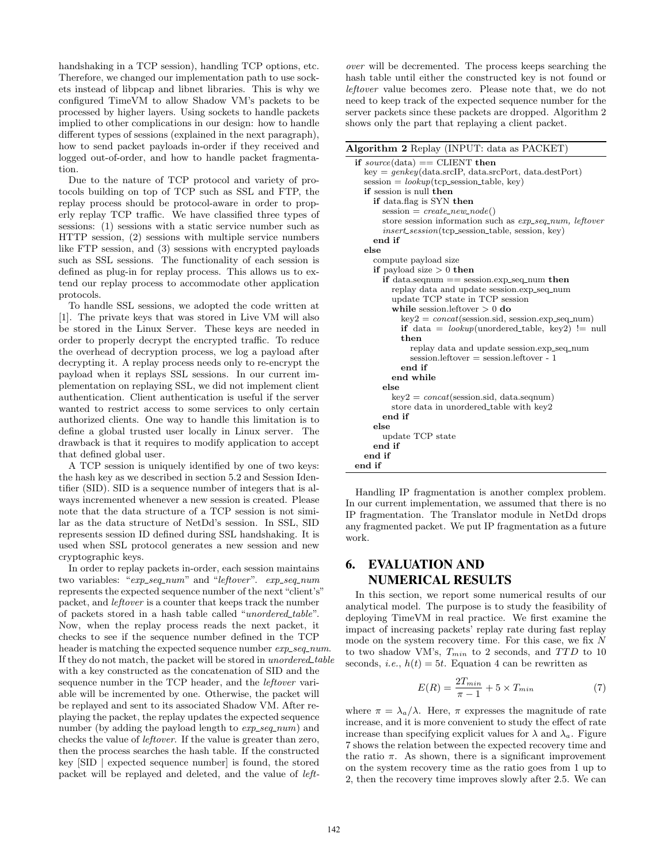handshaking in a TCP session), handling TCP options, etc. Therefore, we changed our implementation path to use sockets instead of libpcap and libnet libraries. This is why we configured TimeVM to allow Shadow VM's packets to be processed by higher layers. Using sockets to handle packets implied to other complications in our design: how to handle different types of sessions (explained in the next paragraph), how to send packet payloads in-order if they received and logged out-of-order, and how to handle packet fragmentation.

Due to the nature of TCP protocol and variety of protocols building on top of TCP such as SSL and FTP, the replay process should be protocol-aware in order to properly replay TCP traffic. We have classified three types of sessions: (1) sessions with a static service number such as HTTP session, (2) sessions with multiple service numbers like FTP session, and (3) sessions with encrypted payloads such as SSL sessions. The functionality of each session is defined as plug-in for replay process. This allows us to extend our replay process to accommodate other application protocols.

To handle SSL sessions, we adopted the code written at [1]. The private keys that was stored in Live VM will also be stored in the Linux Server. These keys are needed in order to properly decrypt the encrypted traffic. To reduce the overhead of decryption process, we log a payload after decrypting it. A replay process needs only to re-encrypt the payload when it replays SSL sessions. In our current implementation on replaying SSL, we did not implement client authentication. Client authentication is useful if the server wanted to restrict access to some services to only certain authorized clients. One way to handle this limitation is to define a global trusted user locally in Linux server. The drawback is that it requires to modify application to accept that defined global user.

A TCP session is uniquely identified by one of two keys: the hash key as we described in section 5.2 and Session Identifier (SID). SID is a sequence number of integers that is always incremented whenever a new session is created. Please note that the data structure of a TCP session is not similar as the data structure of NetDd's session. In SSL, SID represents session ID defined during SSL handshaking. It is used when SSL protocol generates a new session and new cryptographic keys.

In order to replay packets in-order, each session maintains two variables: "exp\_seq\_num" and "leftover". exp\_seq\_num represents the expected sequence number of the next "client's" packet, and leftover is a counter that keeps track the number of packets stored in a hash table called "unordered\_table". Now, when the replay process reads the next packet, it checks to see if the sequence number defined in the TCP header is matching the expected sequence number  $exp\_seq\_num$ . If they do not match, the packet will be stored in unordered table with a key constructed as the concatenation of SID and the sequence number in the TCP header, and the *leftover* variable will be incremented by one. Otherwise, the packet will be replayed and sent to its associated Shadow VM. After replaying the packet, the replay updates the expected sequence number (by adding the payload length to  $exp\_seq\_num$ ) and checks the value of leftover. If the value is greater than zero, then the process searches the hash table. If the constructed key [SID | expected sequence number] is found, the stored packet will be replayed and deleted, and the value of left-

over will be decremented. The process keeps searching the hash table until either the constructed key is not found or leftover value becomes zero. Please note that, we do not need to keep track of the expected sequence number for the server packets since these packets are dropped. Algorithm 2 shows only the part that replaying a client packet.

| Algorithm 2 Replay (INPUT: data as PACKET)                                                              |  |
|---------------------------------------------------------------------------------------------------------|--|
| if $source(data) == CLIENT$ then                                                                        |  |
| $l_{\text{cov}} = \text{conlead}(\text{data oroID} \text{ data oroPart} \text{ data does}(\text{Port})$ |  |

| $\mu$ source, add $\mu$ = $\mu$ changes once $\mu$                    |
|-----------------------------------------------------------------------|
| $key = \text{genkey}(data.srcIP, data.srcPort, data.destPort)$        |
| session = $lookup(tcp\text{-}session\text{-}table, key)$              |
| if session is null then                                               |
| if data.flag is SYN then                                              |
| $session = create_new-node()$                                         |
| store session information such as $exp\_seq\_num$ , leftover          |
| <i>insert_session</i> (tcp_session_table, session, key)               |
| end if                                                                |
| else                                                                  |
| compute payload size                                                  |
| if payload size $> 0$ then                                            |
| if data.seq num $==$ session.exp_seq_num then                         |
| replay data and update session.exp_seq_num                            |
| update TCP state in TCP session                                       |
| while session. leftover $> 0$ do                                      |
| $key2 = concat(session.size, session.exp\_seq_number)$                |
| <b>if</b> data = $\text{lookup}$ (unordered_table, key2) != null      |
| then                                                                  |
| replay data and update session.exp_seq_num                            |
| session.leftover $=$ session.leftover - 1                             |
| end if                                                                |
| end while                                                             |
| else                                                                  |
| $key2 = concat(\text{session}.\text{sid}, \text{data}.\text{seqnum})$ |
| store data in unordered_table with key2                               |
| end if                                                                |
| else                                                                  |
| update TCP state                                                      |
| end if                                                                |
| end if                                                                |
| end if                                                                |

Handling IP fragmentation is another complex problem. In our current implementation, we assumed that there is no IP fragmentation. The Translator module in NetDd drops any fragmented packet. We put IP fragmentation as a future work.

# 6. EVALUATION AND NUMERICAL RESULTS

In this section, we report some numerical results of our analytical model. The purpose is to study the feasibility of deploying TimeVM in real practice. We first examine the impact of increasing packets' replay rate during fast replay mode on the system recovery time. For this case, we fix N to two shadow VM's,  $T_{min}$  to 2 seconds, and  $TTD$  to 10 seconds, *i.e.*,  $h(t) = 5t$ . Equation 4 can be rewritten as

$$
E(R) = \frac{2T_{min}}{\pi - 1} + 5 \times T_{min}
$$
\n<sup>(7)</sup>

where  $\pi = \lambda_a/\lambda$ . Here,  $\pi$  expresses the magnitude of rate increase, and it is more convenient to study the effect of rate increase than specifying explicit values for  $\lambda$  and  $\lambda_a$ . Figure 7 shows the relation between the expected recovery time and the ratio  $\pi$ . As shown, there is a significant improvement on the system recovery time as the ratio goes from 1 up to 2, then the recovery time improves slowly after 2.5. We can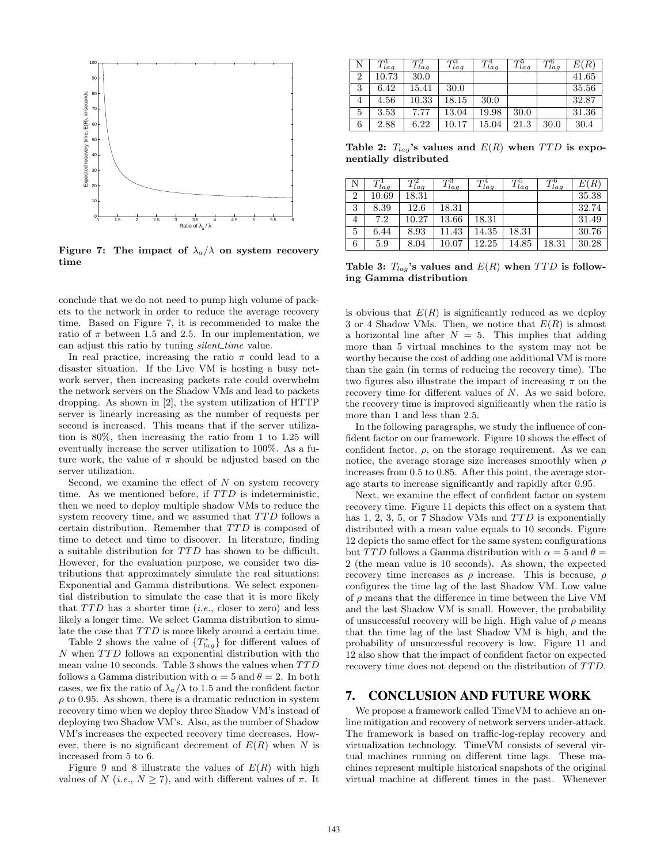

Figure 7: The impact of  $\lambda_a/\lambda$  on system recovery time

conclude that we do not need to pump high volume of packets to the network in order to reduce the average recovery time. Based on Figure 7, it is recommended to make the ratio of  $\pi$  between 1.5 and 2.5. In our implementation, we can adjust this ratio by tuning *silent\_time* value.

In real practice, increasing the ratio  $\pi$  could lead to a disaster situation. If the Live VM is hosting a busy network server, then increasing packets rate could overwhelm the network servers on the Shadow VMs and lead to packets dropping. As shown in [2], the system utilization of HTTP server is linearly increasing as the number of requests per second is increased. This means that if the server utilization is 80%, then increasing the ratio from 1 to 1.25 will eventually increase the server utilization to 100%. As a future work, the value of  $\pi$  should be adjusted based on the server utilization.

Second, we examine the effect of  $N$  on system recovery time. As we mentioned before, if  $TTD$  is indeterministic, then we need to deploy multiple shadow VMs to reduce the system recovery time, and we assumed that TTD follows a certain distribution. Remember that  $TTD$  is composed of time to detect and time to discover. In literature, finding a suitable distribution for TTD has shown to be difficult. However, for the evaluation purpose, we consider two distributions that approximately simulate the real situations: Exponential and Gamma distributions. We select exponential distribution to simulate the case that it is more likely that  $TTD$  has a shorter time (*i.e.*, closer to zero) and less likely a longer time. We select Gamma distribution to simulate the case that  $TTD$  is more likely around a certain time.

Table 2 shows the value of  $\{T^*_{lag}\}\;$  for different values of  $N$  when  $TTD$  follows an exponential distribution with the mean value 10 seconds. Table 3 shows the values when  $TTD$ follows a Gamma distribution with  $\alpha = 5$  and  $\theta = 2$ . In both cases, we fix the ratio of  $\lambda_a/\lambda$  to 1.5 and the confident factor  $\rho$  to 0.95. As shown, there is a dramatic reduction in system recovery time when we deploy three Shadow VM's instead of deploying two Shadow VM's. Also, as the number of Shadow VM's increases the expected recovery time decreases. However, there is no significant decrement of  $E(R)$  when N is increased from 5 to 6.

Figure 9 and 8 illustrate the values of  $E(R)$  with high values of N (*i.e.*,  $N \geq 7$ ), and with different values of  $\pi$ . It

| - N            | $l_{lag}$ | $l_{lag}$ | $T^3_{lag}$ | $T_{lag}^{\dagger}$ | $T^{\circ}_{lag}$ | $l_{lag}^{\prime\prime}$ | E(R)  |
|----------------|-----------|-----------|-------------|---------------------|-------------------|--------------------------|-------|
| $\overline{2}$ | 10.73     | 30.0      |             |                     |                   |                          | 41.65 |
| 3              | 6.42      | 15.41     | 30.0        |                     |                   |                          | 35.56 |
|                | 4.56      | 10.33     | 18.15       | 30.0                |                   |                          | 32.87 |
| 5              | 3.53      | 7.77      | 13.04       | 19.98               | 30.0              |                          | 31.36 |
| 6              | 2.88      | 6.22      | 10.17       | 15.04               | 21.3              | 30.0                     | 30.4  |

Table 2:  $T_{lag}$ 's values and  $E(R)$  when  $TTD$  is exponentially distributed

| N              | laq   | laq   | $l_{laq}$ | laq   | laq   | $l$ aq | E(R)  |
|----------------|-------|-------|-----------|-------|-------|--------|-------|
| $\overline{2}$ | 10.69 | 18.31 |           |       |       |        | 35.38 |
| 3              | 8.39  | 12.6  | 18.31     |       |       |        | 32.74 |
| $\overline{4}$ | 7.2   | 10.27 | 13.66     | 18.31 |       |        | 31.49 |
| 5              | 6.44  | 8.93  | 11.43     | 14.35 | 18.31 |        | 30.76 |
| 6              | 5.9   | 8.04  | 10.07     | 12.25 | 14.85 | 18.31  | 30.28 |

Table 3:  $T_{lag}$ 's values and  $E(R)$  when  $TTD$  is following Gamma distribution

is obvious that  $E(R)$  is significantly reduced as we deploy 3 or 4 Shadow VMs. Then, we notice that  $E(R)$  is almost a horizontal line after  $N = 5$ . This implies that adding more than 5 virtual machines to the system may not be worthy because the cost of adding one additional VM is more than the gain (in terms of reducing the recovery time). The two figures also illustrate the impact of increasing  $\pi$  on the recovery time for different values of N. As we said before, the recovery time is improved significantly when the ratio is more than 1 and less than 2.5.

In the following paragraphs, we study the influence of confident factor on our framework. Figure 10 shows the effect of confident factor,  $\rho$ , on the storage requirement. As we can notice, the average storage size increases smoothly when  $\rho$ increases from 0.5 to 0.85. After this point, the average storage starts to increase significantly and rapidly after 0.95.

Next, we examine the effect of confident factor on system recovery time. Figure 11 depicts this effect on a system that has 1, 2, 3, 5, or 7 Shadow VMs and  $TTD$  is exponentially distributed with a mean value equals to 10 seconds. Figure 12 depicts the same effect for the same system configurations but TTD follows a Gamma distribution with  $\alpha = 5$  and  $\theta =$ 2 (the mean value is 10 seconds). As shown, the expected recovery time increases as  $\rho$  increase. This is because,  $\rho$ configures the time lag of the last Shadow VM. Low value of  $\rho$  means that the difference in time between the Live VM and the last Shadow VM is small. However, the probability of unsuccessful recovery will be high. High value of  $\rho$  means that the time lag of the last Shadow VM is high, and the probability of unsuccessful recovery is low. Figure 11 and 12 also show that the impact of confident factor on expected recovery time does not depend on the distribution of  $TTD$ .

## 7. CONCLUSION AND FUTURE WORK

We propose a framework called TimeVM to achieve an online mitigation and recovery of network servers under-attack. The framework is based on traffic-log-replay recovery and virtualization technology. TimeVM consists of several virtual machines running on different time lags. These machines represent multiple historical snapshots of the original virtual machine at different times in the past. Whenever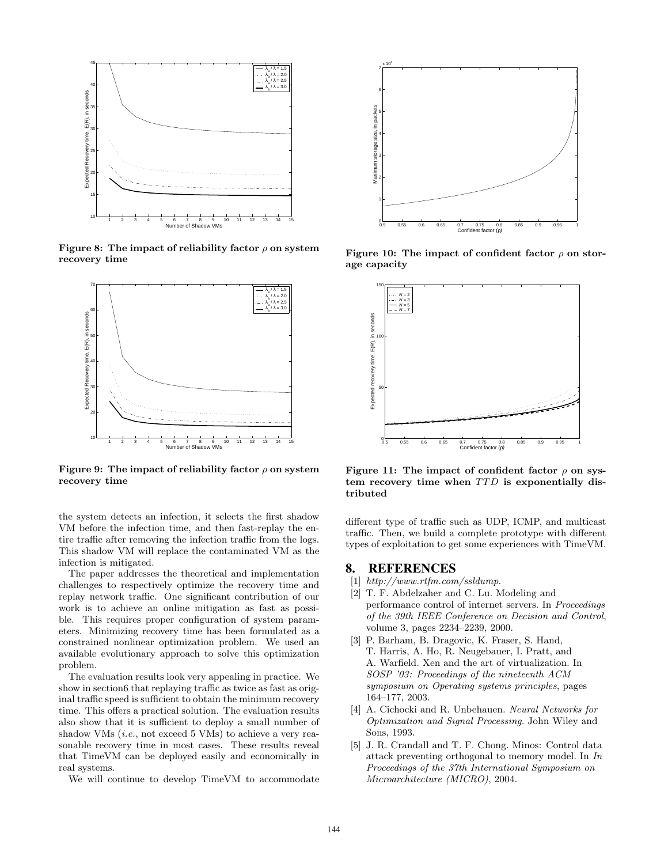

Figure 8: The impact of reliability factor  $\rho$  on system recovery time



Figure 9: The impact of reliability factor  $\rho$  on system recovery time

the system detects an infection, it selects the first shadow VM before the infection time, and then fast-replay the entire traffic after removing the infection traffic from the logs. This shadow VM will replace the contaminated VM as the infection is mitigated.

The paper addresses the theoretical and implementation challenges to respectively optimize the recovery time and replay network traffic. One significant contribution of our work is to achieve an online mitigation as fast as possible. This requires proper configuration of system parameters. Minimizing recovery time has been formulated as a constrained nonlinear optimization problem. We used an available evolutionary approach to solve this optimization problem.

The evaluation results look very appealing in practice. We show in section6 that replaying traffic as twice as fast as original traffic speed is sufficient to obtain the minimum recovery time. This offers a practical solution. The evaluation results also show that it is sufficient to deploy a small number of shadow VMs (*i.e.*, not exceed 5 VMs) to achieve a very reasonable recovery time in most cases. These results reveal that TimeVM can be deployed easily and economically in real systems.

We will continue to develop TimeVM to accommodate



Figure 10: The impact of confident factor  $\rho$  on storage capacity



Figure 11: The impact of confident factor  $\rho$  on system recovery time when  $TTD$  is exponentially distributed

different type of traffic such as UDP, ICMP, and multicast traffic. Then, we build a complete prototype with different types of exploitation to get some experiences with TimeVM.

## 8. REFERENCES

- [1] http://www.rtfm.com/ssldump.
- [2] T. F. Abdelzaher and C. Lu. Modeling and performance control of internet servers. In Proceedings of the 39th IEEE Conference on Decision and Control, volume 3, pages 2234–2239, 2000.
- [3] P. Barham, B. Dragovic, K. Fraser, S. Hand, T. Harris, A. Ho, R. Neugebauer, I. Pratt, and A. Warfield. Xen and the art of virtualization. In SOSP '03: Proceedings of the nineteenth ACM symposium on Operating systems principles, pages 164–177, 2003.
- [4] A. Cichocki and R. Unbehauen. Neural Networks for Optimization and Signal Processing. John Wiley and Sons, 1993.
- [5] J. R. Crandall and T. F. Chong. Minos: Control data attack preventing orthogonal to memory model. In In Proceedings of the 37th International Symposium on Microarchitecture (MICRO), 2004.